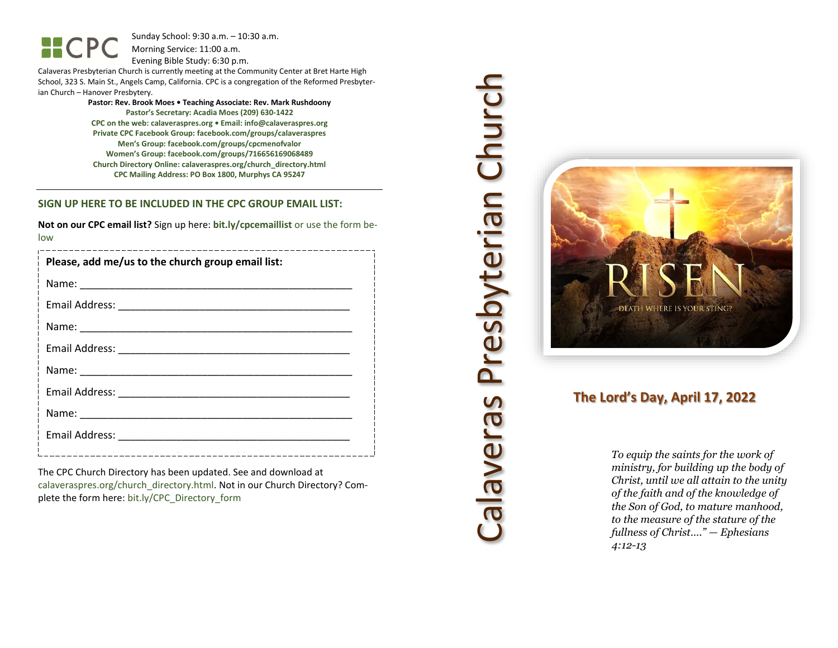HCPC

Sunday School: 9: 3 0 a.m. – 10:30 a.m. Morning Service: 1 1 :00 a.m.

Evening Bible Study: 6: 30 p.m.

Calaveras Presbyterian Church is currently meeting at the Community Center at Bret Harte High School, 323 S. Main St., Angels Camp, California. CPC is a congregation of the Reformed Presbyterian Church – Hanover Presbytery.

> **Pastor: Rev. Brook Moes • Teaching Associate: Rev. Mark Rushdoony Pastor's Secretary: Acadia Moes (209) 630 -1422 CPC on the web: calaveraspres.org • Email: [info@calaveraspres.org](mailto:info@calaveraspres.org) Private CPC Facebook Group: facebook.com/groups/calaveraspres Men's Group: facebook.com/groups/cpcmenofvalor Women's Group: facebook.com/groups/716656169068489 Church Directory Online: calaveraspres.org/church \_directory.html CPC Mailing Address: PO Box 1800, Murphys CA 95247**

### **SIGN UP HERE TO BE INCLUDED IN THE CPC GROUP EMAIL LIST:**

**Not on our CPC email list?** Sign up here: **bit.ly/cpcemaillist** or use the form below

| Please, add me/us to the church group email list: |
|---------------------------------------------------|
|                                                   |
|                                                   |
|                                                   |
|                                                   |
|                                                   |
|                                                   |
|                                                   |
|                                                   |
|                                                   |

The CPC Church Directory has been updated. See and download at calaveraspres.org/church\_directory.html. Not in our Church Directory? Complete the form here: bit.ly/CPC\_Directory\_form

# Calaveras Presbyterian Church Calaveras Presbyterian Church



# **The Lord's Day, April 1 7, 202 2**

*To equip the saints for the work of ministry, for building up the body of Christ, until we all attain to the unity of the faith and of the knowledge of the Son of God, to mature manhood, to the measure of the stature of the fullness of Christ…." — Ephesians 4:12 -13*